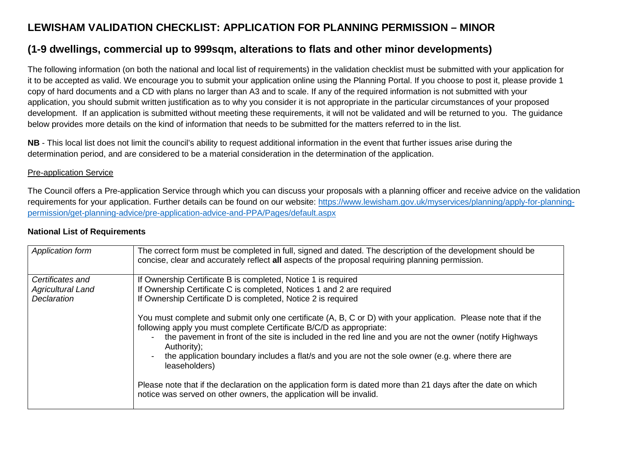# **LEWISHAM VALIDATION CHECKLIST: APPLICATION FOR PLANNING PERMISSION – MINOR**

# **(1-9 dwellings, commercial up to 999sqm, alterations to flats and other minor developments)**

The following information (on both the national and local list of requirements) in the validation checklist must be submitted with your application for it to be accepted as valid. We encourage you to submit your application online using the Planning Portal. If you choose to post it, please provide 1 copy of hard documents and a CD with plans no larger than A3 and to scale. If any of the required information is not submitted with your application, you should submit written justification as to why you consider it is not appropriate in the particular circumstances of your proposed development. If an application is submitted without meeting these requirements, it will not be validated and will be returned to you. The guidance below provides more details on the kind of information that needs to be submitted for the matters referred to in the list.

**NB** - This local list does not limit the council's ability to request additional information in the event that further issues arise during the determination period, and are considered to be a material consideration in the determination of the application.

### Pre-application Service

The Council offers a Pre-application Service through which you can discuss your proposals with a planning officer and receive advice on the validation requirements for your application. Further details can be found on our website: https://www.lewisham.gov.uk/myservices/planning/apply-for-planningpermission/get-planning-advice/pre-application-advice-and-PPA/Pages/default.aspx

| <b>National List of Requirements</b> |  |
|--------------------------------------|--|
|--------------------------------------|--|

| Application form         | The correct form must be completed in full, signed and dated. The description of the development should be<br>concise, clear and accurately reflect all aspects of the proposal requiring planning permission. |
|--------------------------|----------------------------------------------------------------------------------------------------------------------------------------------------------------------------------------------------------------|
| Certificates and         | If Ownership Certificate B is completed, Notice 1 is required                                                                                                                                                  |
| <b>Agricultural Land</b> | If Ownership Certificate C is completed, Notices 1 and 2 are required                                                                                                                                          |
| Declaration              | If Ownership Certificate D is completed, Notice 2 is required                                                                                                                                                  |
|                          | You must complete and submit only one certificate (A, B, C or D) with your application. Please note that if the<br>following apply you must complete Certificate B/C/D as appropriate:                         |
|                          | the pavement in front of the site is included in the red line and you are not the owner (notify Highways<br>$\blacksquare$<br>Authority);                                                                      |
|                          | the application boundary includes a flat/s and you are not the sole owner (e.g. where there are<br>$\blacksquare$<br>leaseholders)                                                                             |
|                          | Please note that if the declaration on the application form is dated more than 21 days after the date on which<br>notice was served on other owners, the application will be invalid.                          |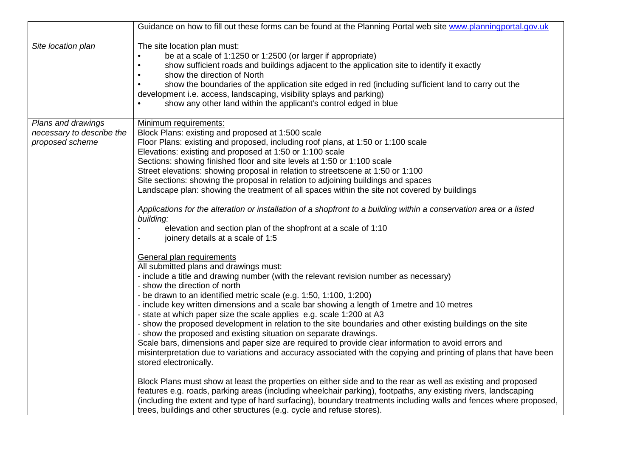|                                                                    | Guidance on how to fill out these forms can be found at the Planning Portal web site www.planningportal.gov.uk                                                                                                                                                                                                                                                                                                                                                                                                                                                                                                                                                                                                                                                                                                                                                                                                                                                                                                                                                                                                                                                                                                                                                                                                                                                                                                                                                                                                                                                                                                                                                                                                                                                                                                                                                                                                                                                                                                                                                                                                                                  |
|--------------------------------------------------------------------|-------------------------------------------------------------------------------------------------------------------------------------------------------------------------------------------------------------------------------------------------------------------------------------------------------------------------------------------------------------------------------------------------------------------------------------------------------------------------------------------------------------------------------------------------------------------------------------------------------------------------------------------------------------------------------------------------------------------------------------------------------------------------------------------------------------------------------------------------------------------------------------------------------------------------------------------------------------------------------------------------------------------------------------------------------------------------------------------------------------------------------------------------------------------------------------------------------------------------------------------------------------------------------------------------------------------------------------------------------------------------------------------------------------------------------------------------------------------------------------------------------------------------------------------------------------------------------------------------------------------------------------------------------------------------------------------------------------------------------------------------------------------------------------------------------------------------------------------------------------------------------------------------------------------------------------------------------------------------------------------------------------------------------------------------------------------------------------------------------------------------------------------------|
| Site location plan<br>$\bullet$                                    | The site location plan must:<br>be at a scale of 1:1250 or 1:2500 (or larger if appropriate)<br>show sufficient roads and buildings adjacent to the application site to identify it exactly<br>show the direction of North<br>show the boundaries of the application site edged in red (including sufficient land to carry out the<br>development i.e. access, landscaping, visibility splays and parking)<br>show any other land within the applicant's control edged in blue                                                                                                                                                                                                                                                                                                                                                                                                                                                                                                                                                                                                                                                                                                                                                                                                                                                                                                                                                                                                                                                                                                                                                                                                                                                                                                                                                                                                                                                                                                                                                                                                                                                                  |
| Plans and drawings<br>necessary to describe the<br>proposed scheme | Minimum requirements:<br>Block Plans: existing and proposed at 1:500 scale<br>Floor Plans: existing and proposed, including roof plans, at 1:50 or 1:100 scale<br>Elevations: existing and proposed at 1:50 or 1:100 scale<br>Sections: showing finished floor and site levels at 1:50 or 1:100 scale<br>Street elevations: showing proposal in relation to streetscene at 1:50 or 1:100<br>Site sections: showing the proposal in relation to adjoining buildings and spaces<br>Landscape plan: showing the treatment of all spaces within the site not covered by buildings<br>Applications for the alteration or installation of a shopfront to a building within a conservation area or a listed<br>building:<br>elevation and section plan of the shopfront at a scale of 1:10<br>joinery details at a scale of 1:5<br>General plan requirements<br>All submitted plans and drawings must:<br>- include a title and drawing number (with the relevant revision number as necessary)<br>- show the direction of north<br>- be drawn to an identified metric scale (e.g. 1:50, 1:100, 1:200)<br>- include key written dimensions and a scale bar showing a length of 1 metre and 10 metres<br>- state at which paper size the scale applies e.g. scale 1:200 at A3<br>- show the proposed development in relation to the site boundaries and other existing buildings on the site<br>- show the proposed and existing situation on separate drawings.<br>Scale bars, dimensions and paper size are required to provide clear information to avoid errors and<br>misinterpretation due to variations and accuracy associated with the copying and printing of plans that have been<br>stored electronically.<br>Block Plans must show at least the properties on either side and to the rear as well as existing and proposed<br>features e.g. roads, parking areas (including wheelchair parking), footpaths, any existing rivers, landscaping<br>(including the extent and type of hard surfacing), boundary treatments including walls and fences where proposed,<br>trees, buildings and other structures (e.g. cycle and refuse stores). |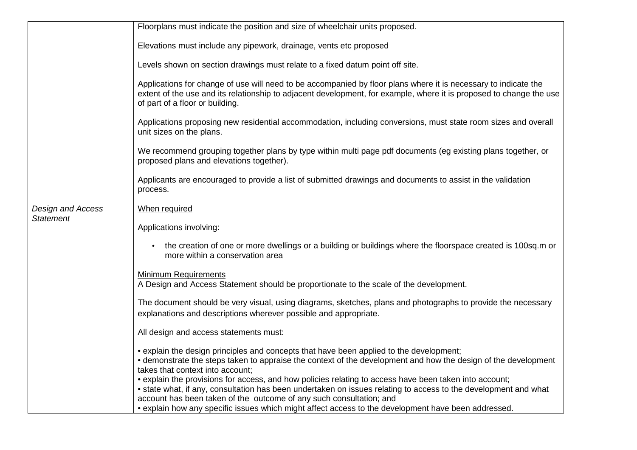|                          | Floorplans must indicate the position and size of wheelchair units proposed.                                                                                                                                                                                                                     |
|--------------------------|--------------------------------------------------------------------------------------------------------------------------------------------------------------------------------------------------------------------------------------------------------------------------------------------------|
|                          | Elevations must include any pipework, drainage, vents etc proposed                                                                                                                                                                                                                               |
|                          | Levels shown on section drawings must relate to a fixed datum point off site.                                                                                                                                                                                                                    |
|                          | Applications for change of use will need to be accompanied by floor plans where it is necessary to indicate the<br>extent of the use and its relationship to adjacent development, for example, where it is proposed to change the use<br>of part of a floor or building.                        |
|                          | Applications proposing new residential accommodation, including conversions, must state room sizes and overall<br>unit sizes on the plans.                                                                                                                                                       |
|                          | We recommend grouping together plans by type within multi page pdf documents (eg existing plans together, or<br>proposed plans and elevations together).                                                                                                                                         |
|                          | Applicants are encouraged to provide a list of submitted drawings and documents to assist in the validation<br>process.                                                                                                                                                                          |
| <b>Design and Access</b> | When required                                                                                                                                                                                                                                                                                    |
| <b>Statement</b>         | Applications involving:                                                                                                                                                                                                                                                                          |
|                          | the creation of one or more dwellings or a building or buildings where the floorspace created is 100sq.m or<br>more within a conservation area                                                                                                                                                   |
|                          | <b>Minimum Requirements</b><br>A Design and Access Statement should be proportionate to the scale of the development.                                                                                                                                                                            |
|                          | The document should be very visual, using diagrams, sketches, plans and photographs to provide the necessary<br>explanations and descriptions wherever possible and appropriate.                                                                                                                 |
|                          | All design and access statements must:                                                                                                                                                                                                                                                           |
|                          | • explain the design principles and concepts that have been applied to the development;<br>• demonstrate the steps taken to appraise the context of the development and how the design of the development<br>takes that context into account;                                                    |
|                          | • explain the provisions for access, and how policies relating to access have been taken into account;<br>• state what, if any, consultation has been undertaken on issues relating to access to the development and what<br>account has been taken of the outcome of any such consultation; and |
|                          | • explain how any specific issues which might affect access to the development have been addressed.                                                                                                                                                                                              |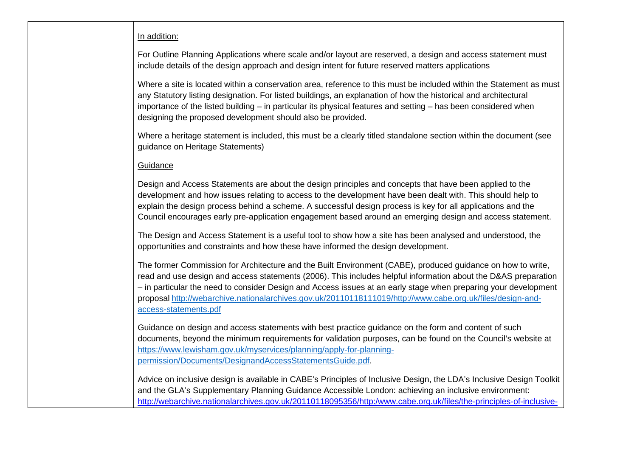### In addition:

For Outline Planning Applications where scale and/or layout are reserved, a design and access statement must include details of the design approach and design intent for future reserved matters applications

Where a site is located within a conservation area, reference to this must be included within the Statement as must any Statutory listing designation. For listed buildings, an explanation of how the historical and architectural importance of the listed building – in particular its physical features and setting – has been considered when designing the proposed development should also be provided.

Where a heritage statement is included, this must be a clearly titled standalone section within the document (see guidance on Heritage Statements)

### **Guidance**

Design and Access Statements are about the design principles and concepts that have been applied to the development and how issues relating to access to the development have been dealt with. This should help to explain the design process behind a scheme. A successful design process is key for all applications and the Council encourages early pre-application engagement based around an emerging design and access statement.

The Design and Access Statement is a useful tool to show how a site has been analysed and understood, the opportunities and constraints and how these have informed the design development.

The former Commission for Architecture and the Built Environment (CABE), produced guidance on how to write, read and use design and access statements (2006). This includes helpful information about the D&AS preparation – in particular the need to consider Design and Access issues at an early stage when preparing your development proposal http://webarchive.nationalarchives.gov.uk/20110118111019/http://www.cabe.org.uk/files/design-andaccess-statements.pdf

Guidance on design and access statements with best practice guidance on the form and content of such documents, beyond the minimum requirements for validation purposes, can be found on the Council's website at https://www.lewisham.gov.uk/myservices/planning/apply-for-planningpermission/Documents/DesignandAccessStatementsGuide.pdf.

Advice on inclusive design is available in CABE's Principles of Inclusive Design, the LDA's Inclusive Design Toolkit and the GLA's Supplementary Planning Guidance Accessible London: achieving an inclusive environment: http://webarchive.nationalarchives.gov.uk/20110118095356/http:/www.cabe.org.uk/files/the-principles-of-inclusive-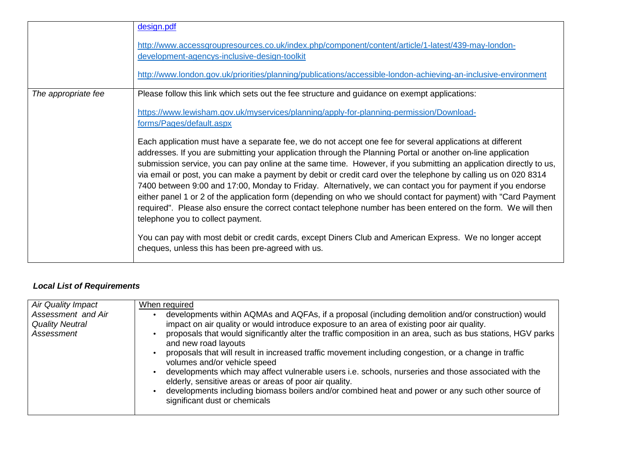|                     | design.pdf<br>http://www.accessgroupresources.co.uk/index.php/component/content/article/1-latest/439-may-london-<br>development-agencys-inclusive-design-toolkit<br>http://www.london.gov.uk/priorities/planning/publications/accessible-london-achieving-an-inclusive-environment                                                                                                                                                                                                                                                                                                                                                                                                                                                                                                                                                                        |
|---------------------|-----------------------------------------------------------------------------------------------------------------------------------------------------------------------------------------------------------------------------------------------------------------------------------------------------------------------------------------------------------------------------------------------------------------------------------------------------------------------------------------------------------------------------------------------------------------------------------------------------------------------------------------------------------------------------------------------------------------------------------------------------------------------------------------------------------------------------------------------------------|
|                     |                                                                                                                                                                                                                                                                                                                                                                                                                                                                                                                                                                                                                                                                                                                                                                                                                                                           |
| The appropriate fee | Please follow this link which sets out the fee structure and guidance on exempt applications:                                                                                                                                                                                                                                                                                                                                                                                                                                                                                                                                                                                                                                                                                                                                                             |
|                     | https://www.lewisham.gov.uk/myservices/planning/apply-for-planning-permission/Download-<br>forms/Pages/default.aspx                                                                                                                                                                                                                                                                                                                                                                                                                                                                                                                                                                                                                                                                                                                                       |
|                     | Each application must have a separate fee, we do not accept one fee for several applications at different<br>addresses. If you are submitting your application through the Planning Portal or another on-line application<br>submission service, you can pay online at the same time. However, if you submitting an application directly to us,<br>via email or post, you can make a payment by debit or credit card over the telephone by calling us on 020 8314<br>7400 between 9:00 and 17:00, Monday to Friday. Alternatively, we can contact you for payment if you endorse<br>either panel 1 or 2 of the application form (depending on who we should contact for payment) with "Card Payment<br>required". Please also ensure the correct contact telephone number has been entered on the form. We will then<br>telephone you to collect payment. |
|                     | You can pay with most debit or credit cards, except Diners Club and American Express. We no longer accept<br>cheques, unless this has been pre-agreed with us.                                                                                                                                                                                                                                                                                                                                                                                                                                                                                                                                                                                                                                                                                            |

## **Local List of Requirements**

| Air Quality Impact                                         | When required                                                                                                                                                                                                                                                                                                                                                                                                                                                                                                                                                                                                                                                                                                                                                                              |
|------------------------------------------------------------|--------------------------------------------------------------------------------------------------------------------------------------------------------------------------------------------------------------------------------------------------------------------------------------------------------------------------------------------------------------------------------------------------------------------------------------------------------------------------------------------------------------------------------------------------------------------------------------------------------------------------------------------------------------------------------------------------------------------------------------------------------------------------------------------|
| Assessment and Air<br><b>Quality Neutral</b><br>Assessment | developments within AQMAs and AQFAs, if a proposal (including demolition and/or construction) would<br>impact on air quality or would introduce exposure to an area of existing poor air quality.<br>proposals that would significantly alter the traffic composition in an area, such as bus stations, HGV parks<br>and new road layouts<br>proposals that will result in increased traffic movement including congestion, or a change in traffic<br>volumes and/or vehicle speed<br>developments which may affect vulnerable users i.e. schools, nurseries and those associated with the<br>elderly, sensitive areas or areas of poor air quality.<br>developments including biomass boilers and/or combined heat and power or any such other source of<br>significant dust or chemicals |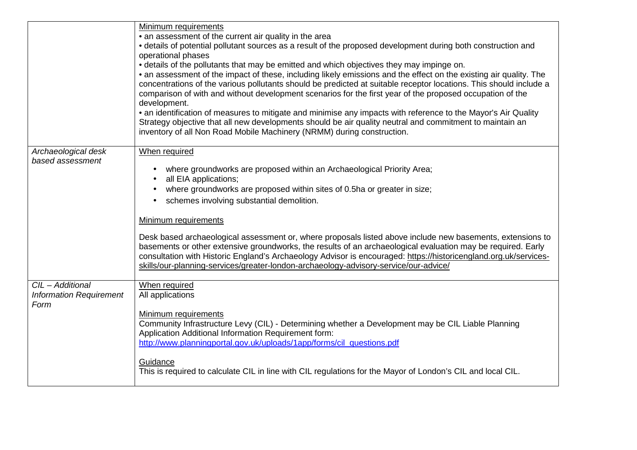|                                                    | Minimum requirements                                                                                                                                                                                                                                                                                                                                                                                                                   |
|----------------------------------------------------|----------------------------------------------------------------------------------------------------------------------------------------------------------------------------------------------------------------------------------------------------------------------------------------------------------------------------------------------------------------------------------------------------------------------------------------|
|                                                    | • an assessment of the current air quality in the area                                                                                                                                                                                                                                                                                                                                                                                 |
|                                                    | • details of potential pollutant sources as a result of the proposed development during both construction and<br>operational phases                                                                                                                                                                                                                                                                                                    |
|                                                    | • details of the pollutants that may be emitted and which objectives they may impinge on.                                                                                                                                                                                                                                                                                                                                              |
|                                                    | • an assessment of the impact of these, including likely emissions and the effect on the existing air quality. The                                                                                                                                                                                                                                                                                                                     |
|                                                    | concentrations of the various pollutants should be predicted at suitable receptor locations. This should include a                                                                                                                                                                                                                                                                                                                     |
|                                                    | comparison of with and without development scenarios for the first year of the proposed occupation of the<br>development.                                                                                                                                                                                                                                                                                                              |
|                                                    | • an identification of measures to mitigate and minimise any impacts with reference to the Mayor's Air Quality                                                                                                                                                                                                                                                                                                                         |
|                                                    | Strategy objective that all new developments should be air quality neutral and commitment to maintain an<br>inventory of all Non Road Mobile Machinery (NRMM) during construction.                                                                                                                                                                                                                                                     |
| Archaeological desk                                | When required                                                                                                                                                                                                                                                                                                                                                                                                                          |
| based assessment                                   |                                                                                                                                                                                                                                                                                                                                                                                                                                        |
|                                                    | where groundworks are proposed within an Archaeological Priority Area;                                                                                                                                                                                                                                                                                                                                                                 |
|                                                    | all EIA applications;                                                                                                                                                                                                                                                                                                                                                                                                                  |
|                                                    | where groundworks are proposed within sites of 0.5ha or greater in size;                                                                                                                                                                                                                                                                                                                                                               |
|                                                    | schemes involving substantial demolition.                                                                                                                                                                                                                                                                                                                                                                                              |
|                                                    | Minimum requirements                                                                                                                                                                                                                                                                                                                                                                                                                   |
|                                                    | Desk based archaeological assessment or, where proposals listed above include new basements, extensions to<br>basements or other extensive groundworks, the results of an archaeological evaluation may be required. Early<br>consultation with Historic England's Archaeology Advisor is encouraged: https://historicengland.org.uk/services-<br>skills/our-planning-services/greater-london-archaeology-advisory-service/our-advice/ |
|                                                    |                                                                                                                                                                                                                                                                                                                                                                                                                                        |
| CIL - Additional<br><b>Information Requirement</b> | When required<br>All applications                                                                                                                                                                                                                                                                                                                                                                                                      |
| Form                                               |                                                                                                                                                                                                                                                                                                                                                                                                                                        |
|                                                    | Minimum requirements                                                                                                                                                                                                                                                                                                                                                                                                                   |
|                                                    | Community Infrastructure Levy (CIL) - Determining whether a Development may be CIL Liable Planning                                                                                                                                                                                                                                                                                                                                     |
|                                                    | Application Additional Information Requirement form:<br>http://www.planningportal.gov.uk/uploads/1app/forms/cil questions.pdf                                                                                                                                                                                                                                                                                                          |
|                                                    |                                                                                                                                                                                                                                                                                                                                                                                                                                        |
|                                                    | Guidance                                                                                                                                                                                                                                                                                                                                                                                                                               |
|                                                    | This is required to calculate CIL in line with CIL regulations for the Mayor of London's CIL and local CIL.                                                                                                                                                                                                                                                                                                                            |
|                                                    |                                                                                                                                                                                                                                                                                                                                                                                                                                        |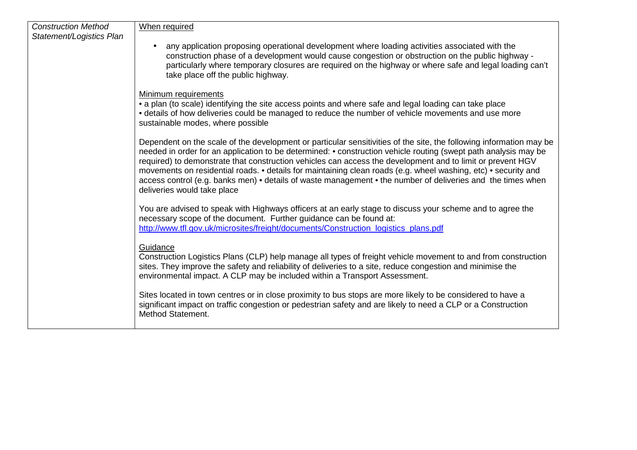| <b>Construction Method</b> | When required                                                                                                                                                                                                                                                                                                                                                                                                                                                                                                                                                                                                        |
|----------------------------|----------------------------------------------------------------------------------------------------------------------------------------------------------------------------------------------------------------------------------------------------------------------------------------------------------------------------------------------------------------------------------------------------------------------------------------------------------------------------------------------------------------------------------------------------------------------------------------------------------------------|
| Statement/Logistics Plan   |                                                                                                                                                                                                                                                                                                                                                                                                                                                                                                                                                                                                                      |
|                            | any application proposing operational development where loading activities associated with the<br>construction phase of a development would cause congestion or obstruction on the public highway -<br>particularly where temporary closures are required on the highway or where safe and legal loading can't<br>take place off the public highway.                                                                                                                                                                                                                                                                 |
|                            | Minimum requirements                                                                                                                                                                                                                                                                                                                                                                                                                                                                                                                                                                                                 |
|                            | • a plan (to scale) identifying the site access points and where safe and legal loading can take place<br>• details of how deliveries could be managed to reduce the number of vehicle movements and use more<br>sustainable modes, where possible                                                                                                                                                                                                                                                                                                                                                                   |
|                            | Dependent on the scale of the development or particular sensitivities of the site, the following information may be<br>needed in order for an application to be determined: • construction vehicle routing (swept path analysis may be<br>required) to demonstrate that construction vehicles can access the development and to limit or prevent HGV<br>movements on residential roads. • details for maintaining clean roads (e.g. wheel washing, etc) • security and<br>access control (e.g. banks men) • details of waste management • the number of deliveries and the times when<br>deliveries would take place |
|                            | You are advised to speak with Highways officers at an early stage to discuss your scheme and to agree the<br>necessary scope of the document. Further guidance can be found at:<br>http://www.tfl.gov.uk/microsites/freight/documents/Construction logistics plans.pdf                                                                                                                                                                                                                                                                                                                                               |
|                            | Guidance<br>Construction Logistics Plans (CLP) help manage all types of freight vehicle movement to and from construction<br>sites. They improve the safety and reliability of deliveries to a site, reduce congestion and minimise the<br>environmental impact. A CLP may be included within a Transport Assessment.                                                                                                                                                                                                                                                                                                |
|                            | Sites located in town centres or in close proximity to bus stops are more likely to be considered to have a<br>significant impact on traffic congestion or pedestrian safety and are likely to need a CLP or a Construction<br>Method Statement.                                                                                                                                                                                                                                                                                                                                                                     |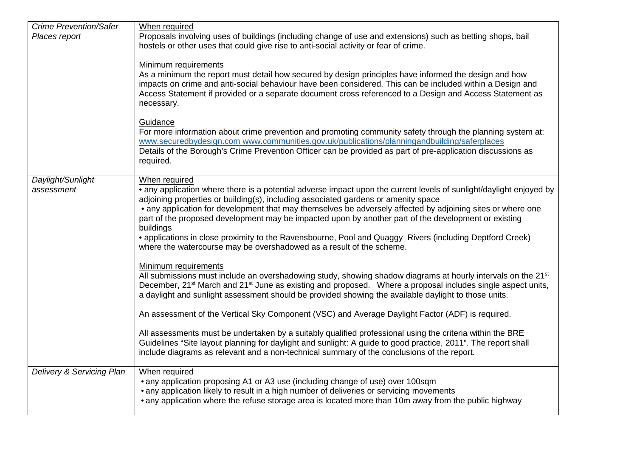| <b>Crime Prevention/Safer</b> | When required                                                                                                                                                                                                                                                                                                                                                                                                                                 |
|-------------------------------|-----------------------------------------------------------------------------------------------------------------------------------------------------------------------------------------------------------------------------------------------------------------------------------------------------------------------------------------------------------------------------------------------------------------------------------------------|
| Places report                 | Proposals involving uses of buildings (including change of use and extensions) such as betting shops, bail                                                                                                                                                                                                                                                                                                                                    |
|                               | hostels or other uses that could give rise to anti-social activity or fear of crime.                                                                                                                                                                                                                                                                                                                                                          |
|                               | Minimum requirements<br>As a minimum the report must detail how secured by design principles have informed the design and how<br>impacts on crime and anti-social behaviour have been considered. This can be included within a Design and<br>Access Statement if provided or a separate document cross referenced to a Design and Access Statement as<br>necessary.                                                                          |
|                               | Guidance                                                                                                                                                                                                                                                                                                                                                                                                                                      |
|                               | For more information about crime prevention and promoting community safety through the planning system at:                                                                                                                                                                                                                                                                                                                                    |
|                               | www.securedbydesign.com www.communities.gov.uk/publications/planningandbuilding/saferplaces<br>Details of the Borough's Crime Prevention Officer can be provided as part of pre-application discussions as                                                                                                                                                                                                                                    |
|                               | required.                                                                                                                                                                                                                                                                                                                                                                                                                                     |
|                               |                                                                                                                                                                                                                                                                                                                                                                                                                                               |
| Daylight/Sunlight             | When required                                                                                                                                                                                                                                                                                                                                                                                                                                 |
| assessment                    | • any application where there is a potential adverse impact upon the current levels of sunlight/daylight enjoyed by<br>adjoining properties or building(s), including associated gardens or amenity space<br>• any application for development that may themselves be adversely affected by adjoining sites or where one<br>part of the proposed development may be impacted upon by another part of the development or existing<br>buildings |
|                               | • applications in close proximity to the Ravensbourne, Pool and Quaggy Rivers (including Deptford Creek)<br>where the watercourse may be overshadowed as a result of the scheme.                                                                                                                                                                                                                                                              |
|                               |                                                                                                                                                                                                                                                                                                                                                                                                                                               |
|                               | Minimum requirements<br>All submissions must include an overshadowing study, showing shadow diagrams at hourly intervals on the 21 <sup>st</sup><br>December, 21 <sup>st</sup> March and 21 <sup>st</sup> June as existing and proposed. Where a proposal includes single aspect units,<br>a daylight and sunlight assessment should be provided showing the available daylight to those units.                                               |
|                               | An assessment of the Vertical Sky Component (VSC) and Average Daylight Factor (ADF) is required.                                                                                                                                                                                                                                                                                                                                              |
|                               | All assessments must be undertaken by a suitably qualified professional using the criteria within the BRE<br>Guidelines "Site layout planning for daylight and sunlight: A guide to good practice, 2011". The report shall<br>include diagrams as relevant and a non-technical summary of the conclusions of the report.                                                                                                                      |
| Delivery & Servicing Plan     | When required                                                                                                                                                                                                                                                                                                                                                                                                                                 |
|                               | • any application proposing A1 or A3 use (including change of use) over 100sqm<br>• any application likely to result in a high number of deliveries or servicing movements<br>• any application where the refuse storage area is located more than 10m away from the public highway                                                                                                                                                           |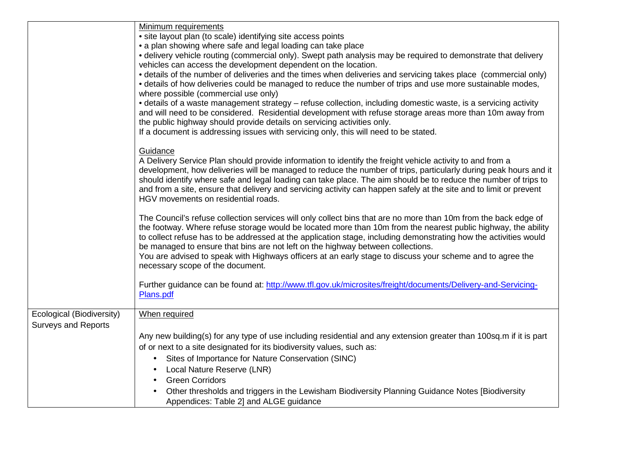|                                                         | Minimum requirements<br>· site layout plan (to scale) identifying site access points<br>• a plan showing where safe and legal loading can take place<br>• delivery vehicle routing (commercial only). Swept path analysis may be required to demonstrate that delivery<br>vehicles can access the development dependent on the location.<br>• details of the number of deliveries and the times when deliveries and servicing takes place (commercial only)<br>• details of how deliveries could be managed to reduce the number of trips and use more sustainable modes,<br>where possible (commercial use only)<br>• details of a waste management strategy – refuse collection, including domestic waste, is a servicing activity<br>and will need to be considered. Residential development with refuse storage areas more than 10m away from<br>the public highway should provide details on servicing activities only.<br>If a document is addressing issues with servicing only, this will need to be stated. |
|---------------------------------------------------------|----------------------------------------------------------------------------------------------------------------------------------------------------------------------------------------------------------------------------------------------------------------------------------------------------------------------------------------------------------------------------------------------------------------------------------------------------------------------------------------------------------------------------------------------------------------------------------------------------------------------------------------------------------------------------------------------------------------------------------------------------------------------------------------------------------------------------------------------------------------------------------------------------------------------------------------------------------------------------------------------------------------------|
|                                                         | Guidance<br>A Delivery Service Plan should provide information to identify the freight vehicle activity to and from a<br>development, how deliveries will be managed to reduce the number of trips, particularly during peak hours and it<br>should identify where safe and legal loading can take place. The aim should be to reduce the number of trips to<br>and from a site, ensure that delivery and servicing activity can happen safely at the site and to limit or prevent<br>HGV movements on residential roads.                                                                                                                                                                                                                                                                                                                                                                                                                                                                                            |
|                                                         | The Council's refuse collection services will only collect bins that are no more than 10m from the back edge of<br>the footway. Where refuse storage would be located more than 10m from the nearest public highway, the ability<br>to collect refuse has to be addressed at the application stage, including demonstrating how the activities would<br>be managed to ensure that bins are not left on the highway between collections.<br>You are advised to speak with Highways officers at an early stage to discuss your scheme and to agree the<br>necessary scope of the document.                                                                                                                                                                                                                                                                                                                                                                                                                             |
|                                                         | Further guidance can be found at: http://www.tfl.gov.uk/microsites/freight/documents/Delivery-and-Servicing-<br>Plans.pdf                                                                                                                                                                                                                                                                                                                                                                                                                                                                                                                                                                                                                                                                                                                                                                                                                                                                                            |
| Ecological (Biodiversity)<br><b>Surveys and Reports</b> | When required<br>Any new building(s) for any type of use including residential and any extension greater than 100sq.m if it is part<br>of or next to a site designated for its biodiversity values, such as:<br>Sites of Importance for Nature Conservation (SINC)<br>$\bullet$<br>Local Nature Reserve (LNR)<br><b>Green Corridors</b><br>$\bullet$<br>Other thresholds and triggers in the Lewisham Biodiversity Planning Guidance Notes [Biodiversity]<br>Appendices: Table 2] and ALGE guidance                                                                                                                                                                                                                                                                                                                                                                                                                                                                                                                  |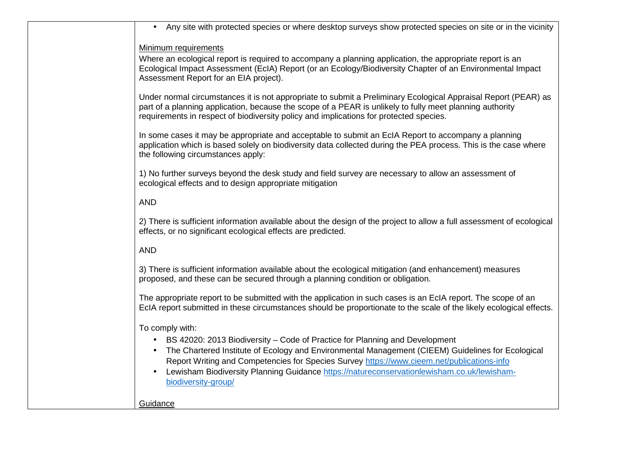| Any site with protected species or where desktop surveys show protected species on site or in the vicinity                                                                                                                                                                                                           |
|----------------------------------------------------------------------------------------------------------------------------------------------------------------------------------------------------------------------------------------------------------------------------------------------------------------------|
| Minimum requirements                                                                                                                                                                                                                                                                                                 |
| Where an ecological report is required to accompany a planning application, the appropriate report is an<br>Ecological Impact Assessment (EcIA) Report (or an Ecology/Biodiversity Chapter of an Environmental Impact<br>Assessment Report for an EIA project).                                                      |
| Under normal circumstances it is not appropriate to submit a Preliminary Ecological Appraisal Report (PEAR) as<br>part of a planning application, because the scope of a PEAR is unlikely to fully meet planning authority<br>requirements in respect of biodiversity policy and implications for protected species. |
| In some cases it may be appropriate and acceptable to submit an EcIA Report to accompany a planning<br>application which is based solely on biodiversity data collected during the PEA process. This is the case where<br>the following circumstances apply:                                                         |
| 1) No further surveys beyond the desk study and field survey are necessary to allow an assessment of<br>ecological effects and to design appropriate mitigation                                                                                                                                                      |
| <b>AND</b>                                                                                                                                                                                                                                                                                                           |
| 2) There is sufficient information available about the design of the project to allow a full assessment of ecological<br>effects, or no significant ecological effects are predicted.                                                                                                                                |
| <b>AND</b>                                                                                                                                                                                                                                                                                                           |
| 3) There is sufficient information available about the ecological mitigation (and enhancement) measures<br>proposed, and these can be secured through a planning condition or obligation.                                                                                                                            |
| The appropriate report to be submitted with the application in such cases is an EcIA report. The scope of an<br>EcIA report submitted in these circumstances should be proportionate to the scale of the likely ecological effects.                                                                                  |
| To comply with:                                                                                                                                                                                                                                                                                                      |
| BS 42020: 2013 Biodiversity - Code of Practice for Planning and Development                                                                                                                                                                                                                                          |
| The Chartered Institute of Ecology and Environmental Management (CIEEM) Guidelines for Ecological<br>$\bullet$<br>Report Writing and Competencies for Species Survey https://www.cieem.net/publications-info                                                                                                         |
| Lewisham Biodiversity Planning Guidance https://natureconservationlewisham.co.uk/lewisham-<br>biodiversity-group/                                                                                                                                                                                                    |
| Guidance                                                                                                                                                                                                                                                                                                             |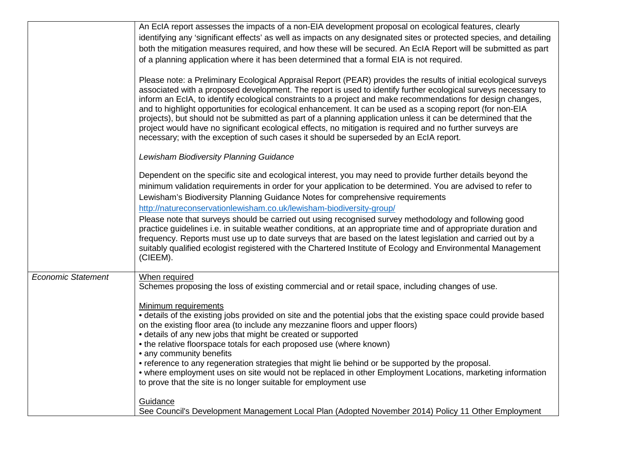|                           | An EcIA report assesses the impacts of a non-EIA development proposal on ecological features, clearly                                                                                                                           |
|---------------------------|---------------------------------------------------------------------------------------------------------------------------------------------------------------------------------------------------------------------------------|
|                           | identifying any 'significant effects' as well as impacts on any designated sites or protected species, and detailing                                                                                                            |
|                           | both the mitigation measures required, and how these will be secured. An EcIA Report will be submitted as part                                                                                                                  |
|                           | of a planning application where it has been determined that a formal EIA is not required.                                                                                                                                       |
|                           |                                                                                                                                                                                                                                 |
|                           | Please note: a Preliminary Ecological Appraisal Report (PEAR) provides the results of initial ecological surveys                                                                                                                |
|                           | associated with a proposed development. The report is used to identify further ecological surveys necessary to                                                                                                                  |
|                           | inform an EcIA, to identify ecological constraints to a project and make recommendations for design changes,<br>and to highlight opportunities for ecological enhancement. It can be used as a scoping report (for non-EIA      |
|                           | projects), but should not be submitted as part of a planning application unless it can be determined that the                                                                                                                   |
|                           | project would have no significant ecological effects, no mitigation is required and no further surveys are                                                                                                                      |
|                           | necessary; with the exception of such cases it should be superseded by an EcIA report.                                                                                                                                          |
|                           | Lewisham Biodiversity Planning Guidance                                                                                                                                                                                         |
|                           |                                                                                                                                                                                                                                 |
|                           | Dependent on the specific site and ecological interest, you may need to provide further details beyond the                                                                                                                      |
|                           | minimum validation requirements in order for your application to be determined. You are advised to refer to                                                                                                                     |
|                           | Lewisham's Biodiversity Planning Guidance Notes for comprehensive requirements                                                                                                                                                  |
|                           | http://natureconservationlewisham.co.uk/lewisham-biodiversity-group/                                                                                                                                                            |
|                           | Please note that surveys should be carried out using recognised survey methodology and following good                                                                                                                           |
|                           | practice guidelines i.e. in suitable weather conditions, at an appropriate time and of appropriate duration and<br>frequency. Reports must use up to date surveys that are based on the latest legislation and carried out by a |
|                           | suitably qualified ecologist registered with the Chartered Institute of Ecology and Environmental Management                                                                                                                    |
|                           | (CIEEM).                                                                                                                                                                                                                        |
|                           |                                                                                                                                                                                                                                 |
| <b>Economic Statement</b> | When required                                                                                                                                                                                                                   |
|                           | Schemes proposing the loss of existing commercial and or retail space, including changes of use.                                                                                                                                |
|                           | Minimum requirements                                                                                                                                                                                                            |
|                           | • details of the existing jobs provided on site and the potential jobs that the existing space could provide based                                                                                                              |
|                           | on the existing floor area (to include any mezzanine floors and upper floors)                                                                                                                                                   |
|                           | • details of any new jobs that might be created or supported                                                                                                                                                                    |
|                           | • the relative floorspace totals for each proposed use (where known)<br>• any community benefits                                                                                                                                |
|                           | • reference to any regeneration strategies that might lie behind or be supported by the proposal.                                                                                                                               |
|                           | • where employment uses on site would not be replaced in other Employment Locations, marketing information                                                                                                                      |
|                           | to prove that the site is no longer suitable for employment use                                                                                                                                                                 |
|                           | Guidance                                                                                                                                                                                                                        |
|                           | See Council's Development Management Local Plan (Adopted November 2014) Policy 11 Other Employment                                                                                                                              |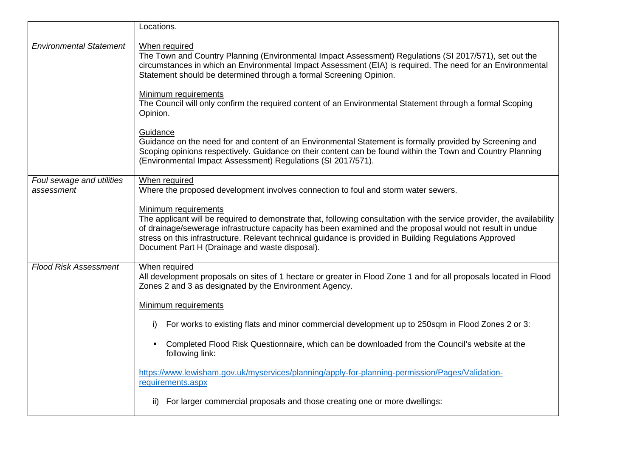|                                         | Locations.                                                                                                                                                                                                                                                                                                                                                                                                               |
|-----------------------------------------|--------------------------------------------------------------------------------------------------------------------------------------------------------------------------------------------------------------------------------------------------------------------------------------------------------------------------------------------------------------------------------------------------------------------------|
| <b>Environmental Statement</b>          | When required<br>The Town and Country Planning (Environmental Impact Assessment) Regulations (SI 2017/571), set out the<br>circumstances in which an Environmental Impact Assessment (EIA) is required. The need for an Environmental<br>Statement should be determined through a formal Screening Opinion.                                                                                                              |
|                                         | Minimum requirements<br>The Council will only confirm the required content of an Environmental Statement through a formal Scoping<br>Opinion.                                                                                                                                                                                                                                                                            |
|                                         | Guidance<br>Guidance on the need for and content of an Environmental Statement is formally provided by Screening and<br>Scoping opinions respectively. Guidance on their content can be found within the Town and Country Planning<br>(Environmental Impact Assessment) Regulations (SI 2017/571).                                                                                                                       |
| Foul sewage and utilities<br>assessment | When required<br>Where the proposed development involves connection to foul and storm water sewers.                                                                                                                                                                                                                                                                                                                      |
|                                         | Minimum requirements<br>The applicant will be required to demonstrate that, following consultation with the service provider, the availability<br>of drainage/sewerage infrastructure capacity has been examined and the proposal would not result in undue<br>stress on this infrastructure. Relevant technical guidance is provided in Building Regulations Approved<br>Document Part H (Drainage and waste disposal). |
| <b>Flood Risk Assessment</b>            | When required<br>All development proposals on sites of 1 hectare or greater in Flood Zone 1 and for all proposals located in Flood<br>Zones 2 and 3 as designated by the Environment Agency.                                                                                                                                                                                                                             |
|                                         | Minimum requirements                                                                                                                                                                                                                                                                                                                                                                                                     |
|                                         | For works to existing flats and minor commercial development up to 250sqm in Flood Zones 2 or 3:<br>i)                                                                                                                                                                                                                                                                                                                   |
|                                         | Completed Flood Risk Questionnaire, which can be downloaded from the Council's website at the<br>following link:                                                                                                                                                                                                                                                                                                         |
|                                         | https://www.lewisham.gov.uk/myservices/planning/apply-for-planning-permission/Pages/Validation-<br>requirements.aspx                                                                                                                                                                                                                                                                                                     |
|                                         | ii) For larger commercial proposals and those creating one or more dwellings:                                                                                                                                                                                                                                                                                                                                            |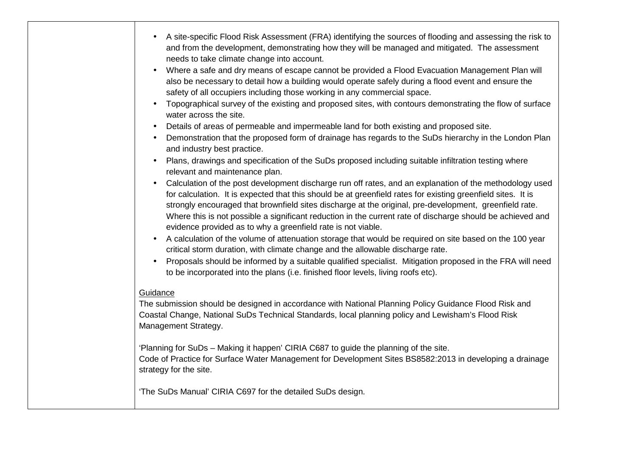| $\bullet$                                                                                                                                                                                                                  | A site-specific Flood Risk Assessment (FRA) identifying the sources of flooding and assessing the risk to<br>and from the development, demonstrating how they will be managed and mitigated. The assessment<br>needs to take climate change into account.                                                                                                                                                                                                                                                       |  |
|----------------------------------------------------------------------------------------------------------------------------------------------------------------------------------------------------------------------------|-----------------------------------------------------------------------------------------------------------------------------------------------------------------------------------------------------------------------------------------------------------------------------------------------------------------------------------------------------------------------------------------------------------------------------------------------------------------------------------------------------------------|--|
| $\bullet$                                                                                                                                                                                                                  | Where a safe and dry means of escape cannot be provided a Flood Evacuation Management Plan will<br>also be necessary to detail how a building would operate safely during a flood event and ensure the<br>safety of all occupiers including those working in any commercial space.                                                                                                                                                                                                                              |  |
| $\bullet$                                                                                                                                                                                                                  | Topographical survey of the existing and proposed sites, with contours demonstrating the flow of surface<br>water across the site.                                                                                                                                                                                                                                                                                                                                                                              |  |
| $\bullet$                                                                                                                                                                                                                  | Details of areas of permeable and impermeable land for both existing and proposed site.                                                                                                                                                                                                                                                                                                                                                                                                                         |  |
| $\bullet$                                                                                                                                                                                                                  | Demonstration that the proposed form of drainage has regards to the SuDs hierarchy in the London Plan<br>and industry best practice.                                                                                                                                                                                                                                                                                                                                                                            |  |
| $\bullet$                                                                                                                                                                                                                  | Plans, drawings and specification of the SuDs proposed including suitable infiltration testing where<br>relevant and maintenance plan.                                                                                                                                                                                                                                                                                                                                                                          |  |
| $\bullet$                                                                                                                                                                                                                  | Calculation of the post development discharge run off rates, and an explanation of the methodology used<br>for calculation. It is expected that this should be at greenfield rates for existing greenfield sites. It is<br>strongly encouraged that brownfield sites discharge at the original, pre-development, greenfield rate.<br>Where this is not possible a significant reduction in the current rate of discharge should be achieved and<br>evidence provided as to why a greenfield rate is not viable. |  |
| $\bullet$                                                                                                                                                                                                                  | A calculation of the volume of attenuation storage that would be required on site based on the 100 year<br>critical storm duration, with climate change and the allowable discharge rate.                                                                                                                                                                                                                                                                                                                       |  |
| $\bullet$                                                                                                                                                                                                                  | Proposals should be informed by a suitable qualified specialist. Mitigation proposed in the FRA will need<br>to be incorporated into the plans (i.e. finished floor levels, living roofs etc).                                                                                                                                                                                                                                                                                                                  |  |
| Guidance                                                                                                                                                                                                                   |                                                                                                                                                                                                                                                                                                                                                                                                                                                                                                                 |  |
|                                                                                                                                                                                                                            | The submission should be designed in accordance with National Planning Policy Guidance Flood Risk and<br>Coastal Change, National SuDs Technical Standards, local planning policy and Lewisham's Flood Risk<br>Management Strategy.                                                                                                                                                                                                                                                                             |  |
| 'Planning for SuDs - Making it happen' CIRIA C687 to guide the planning of the site.<br>Code of Practice for Surface Water Management for Development Sites BS8582:2013 in developing a drainage<br>strategy for the site. |                                                                                                                                                                                                                                                                                                                                                                                                                                                                                                                 |  |
|                                                                                                                                                                                                                            | 'The SuDs Manual' CIRIA C697 for the detailed SuDs design.                                                                                                                                                                                                                                                                                                                                                                                                                                                      |  |

┑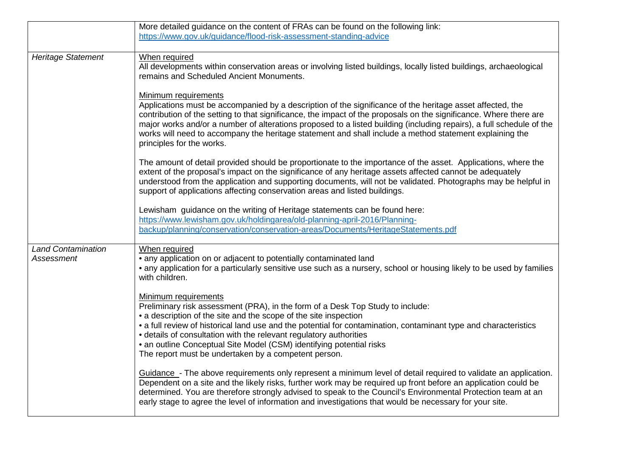|                                                | More detailed guidance on the content of FRAs can be found on the following link:                                                                                                                                                                                                                                                                                                                                                                                                                                       |
|------------------------------------------------|-------------------------------------------------------------------------------------------------------------------------------------------------------------------------------------------------------------------------------------------------------------------------------------------------------------------------------------------------------------------------------------------------------------------------------------------------------------------------------------------------------------------------|
|                                                | https://www.gov.uk/guidance/flood-risk-assessment-standing-advice                                                                                                                                                                                                                                                                                                                                                                                                                                                       |
|                                                |                                                                                                                                                                                                                                                                                                                                                                                                                                                                                                                         |
| <b>Heritage Statement</b>                      | When required<br>All developments within conservation areas or involving listed buildings, locally listed buildings, archaeological<br>remains and Scheduled Ancient Monuments.                                                                                                                                                                                                                                                                                                                                         |
|                                                | Minimum requirements<br>Applications must be accompanied by a description of the significance of the heritage asset affected, the<br>contribution of the setting to that significance, the impact of the proposals on the significance. Where there are<br>major works and/or a number of alterations proposed to a listed building (including repairs), a full schedule of the<br>works will need to accompany the heritage statement and shall include a method statement explaining the<br>principles for the works. |
|                                                | The amount of detail provided should be proportionate to the importance of the asset. Applications, where the<br>extent of the proposal's impact on the significance of any heritage assets affected cannot be adequately<br>understood from the application and supporting documents, will not be validated. Photographs may be helpful in<br>support of applications affecting conservation areas and listed buildings.                                                                                               |
|                                                | Lewisham guidance on the writing of Heritage statements can be found here:<br>https://www.lewisham.gov.uk/holdingarea/old-planning-april-2016/Planning-<br>backup/planning/conservation/conservation-areas/Documents/HeritageStatements.pdf                                                                                                                                                                                                                                                                             |
| <b>Land Contamination</b><br><b>Assessment</b> | When required<br>• any application on or adjacent to potentially contaminated land<br>• any application for a particularly sensitive use such as a nursery, school or housing likely to be used by families<br>with children.                                                                                                                                                                                                                                                                                           |
|                                                | <b>Minimum requirements</b><br>Preliminary risk assessment (PRA), in the form of a Desk Top Study to include:<br>• a description of the site and the scope of the site inspection<br>• a full review of historical land use and the potential for contamination, contaminant type and characteristics<br>• details of consultation with the relevant regulatory authorities<br>• an outline Conceptual Site Model (CSM) identifying potential risks<br>The report must be undertaken by a competent person.             |
|                                                | Guidance - The above requirements only represent a minimum level of detail required to validate an application.<br>Dependent on a site and the likely risks, further work may be required up front before an application could be<br>determined. You are therefore strongly advised to speak to the Council's Environmental Protection team at an<br>early stage to agree the level of information and investigations that would be necessary for your site.                                                            |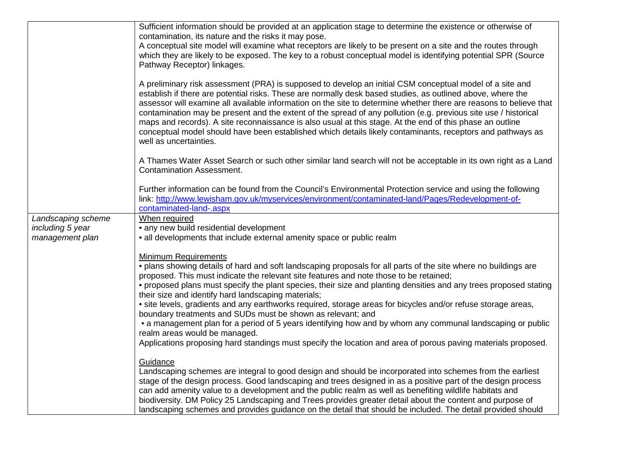|                    | Sufficient information should be provided at an application stage to determine the existence or otherwise of                                                                                                                                                                                                                                                                                                                                                                                                                                                                                                                                                                                                          |
|--------------------|-----------------------------------------------------------------------------------------------------------------------------------------------------------------------------------------------------------------------------------------------------------------------------------------------------------------------------------------------------------------------------------------------------------------------------------------------------------------------------------------------------------------------------------------------------------------------------------------------------------------------------------------------------------------------------------------------------------------------|
|                    | contamination, its nature and the risks it may pose.                                                                                                                                                                                                                                                                                                                                                                                                                                                                                                                                                                                                                                                                  |
|                    | A conceptual site model will examine what receptors are likely to be present on a site and the routes through<br>which they are likely to be exposed. The key to a robust conceptual model is identifying potential SPR (Source                                                                                                                                                                                                                                                                                                                                                                                                                                                                                       |
|                    | Pathway Receptor) linkages.                                                                                                                                                                                                                                                                                                                                                                                                                                                                                                                                                                                                                                                                                           |
|                    |                                                                                                                                                                                                                                                                                                                                                                                                                                                                                                                                                                                                                                                                                                                       |
|                    | A preliminary risk assessment (PRA) is supposed to develop an initial CSM conceptual model of a site and<br>establish if there are potential risks. These are normally desk based studies, as outlined above, where the<br>assessor will examine all available information on the site to determine whether there are reasons to believe that<br>contamination may be present and the extent of the spread of any pollution (e.g. previous site use / historical<br>maps and records). A site reconnaissance is also usual at this stage. At the end of this phase an outline<br>conceptual model should have been established which details likely contaminants, receptors and pathways as<br>well as uncertainties. |
|                    | A Thames Water Asset Search or such other similar land search will not be acceptable in its own right as a Land<br><b>Contamination Assessment.</b>                                                                                                                                                                                                                                                                                                                                                                                                                                                                                                                                                                   |
|                    | Further information can be found from the Council's Environmental Protection service and using the following<br>link: http://www.lewisham.gov.uk/myservices/environment/contaminated-land/Pages/Redevelopment-of-<br>contaminated-land-.aspx                                                                                                                                                                                                                                                                                                                                                                                                                                                                          |
| Landscaping scheme | When required                                                                                                                                                                                                                                                                                                                                                                                                                                                                                                                                                                                                                                                                                                         |
| including 5 year   | • any new build residential development                                                                                                                                                                                                                                                                                                                                                                                                                                                                                                                                                                                                                                                                               |
| management plan    | • all developments that include external amenity space or public realm                                                                                                                                                                                                                                                                                                                                                                                                                                                                                                                                                                                                                                                |
|                    |                                                                                                                                                                                                                                                                                                                                                                                                                                                                                                                                                                                                                                                                                                                       |
|                    | <b>Minimum Requirements</b>                                                                                                                                                                                                                                                                                                                                                                                                                                                                                                                                                                                                                                                                                           |
|                    | . plans showing details of hard and soft landscaping proposals for all parts of the site where no buildings are                                                                                                                                                                                                                                                                                                                                                                                                                                                                                                                                                                                                       |
|                    | proposed. This must indicate the relevant site features and note those to be retained;                                                                                                                                                                                                                                                                                                                                                                                                                                                                                                                                                                                                                                |
|                    | • proposed plans must specify the plant species, their size and planting densities and any trees proposed stating<br>their size and identify hard landscaping materials;                                                                                                                                                                                                                                                                                                                                                                                                                                                                                                                                              |
|                    | • site levels, gradients and any earthworks required, storage areas for bicycles and/or refuse storage areas,                                                                                                                                                                                                                                                                                                                                                                                                                                                                                                                                                                                                         |
|                    | boundary treatments and SUDs must be shown as relevant; and                                                                                                                                                                                                                                                                                                                                                                                                                                                                                                                                                                                                                                                           |
|                    | • a management plan for a period of 5 years identifying how and by whom any communal landscaping or public                                                                                                                                                                                                                                                                                                                                                                                                                                                                                                                                                                                                            |
|                    | realm areas would be managed.                                                                                                                                                                                                                                                                                                                                                                                                                                                                                                                                                                                                                                                                                         |
|                    | Applications proposing hard standings must specify the location and area of porous paving materials proposed.                                                                                                                                                                                                                                                                                                                                                                                                                                                                                                                                                                                                         |
|                    | Guidance                                                                                                                                                                                                                                                                                                                                                                                                                                                                                                                                                                                                                                                                                                              |
|                    | Landscaping schemes are integral to good design and should be incorporated into schemes from the earliest                                                                                                                                                                                                                                                                                                                                                                                                                                                                                                                                                                                                             |
|                    | stage of the design process. Good landscaping and trees designed in as a positive part of the design process                                                                                                                                                                                                                                                                                                                                                                                                                                                                                                                                                                                                          |
|                    | can add amenity value to a development and the public realm as well as benefiting wildlife habitats and                                                                                                                                                                                                                                                                                                                                                                                                                                                                                                                                                                                                               |
|                    | biodiversity. DM Policy 25 Landscaping and Trees provides greater detail about the content and purpose of                                                                                                                                                                                                                                                                                                                                                                                                                                                                                                                                                                                                             |
|                    | landscaping schemes and provides guidance on the detail that should be included. The detail provided should                                                                                                                                                                                                                                                                                                                                                                                                                                                                                                                                                                                                           |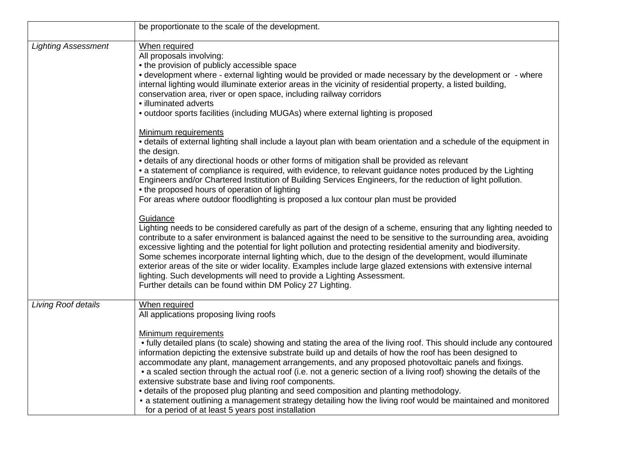|                            | be proportionate to the scale of the development.                                                                                                                                                                                                                                                                                                                                                                                                                                                                                                                                                                                                                                                                                                                                                                                                                        |
|----------------------------|--------------------------------------------------------------------------------------------------------------------------------------------------------------------------------------------------------------------------------------------------------------------------------------------------------------------------------------------------------------------------------------------------------------------------------------------------------------------------------------------------------------------------------------------------------------------------------------------------------------------------------------------------------------------------------------------------------------------------------------------------------------------------------------------------------------------------------------------------------------------------|
| <b>Lighting Assessment</b> | When required<br>All proposals involving:<br>• the provision of publicly accessible space<br>• development where - external lighting would be provided or made necessary by the development or - where<br>internal lighting would illuminate exterior areas in the vicinity of residential property, a listed building,<br>conservation area, river or open space, including railway corridors<br>· illuminated adverts<br>• outdoor sports facilities (including MUGAs) where external lighting is proposed                                                                                                                                                                                                                                                                                                                                                             |
|                            | Minimum requirements<br>• details of external lighting shall include a layout plan with beam orientation and a schedule of the equipment in<br>the design.<br>• details of any directional hoods or other forms of mitigation shall be provided as relevant<br>• a statement of compliance is required, with evidence, to relevant guidance notes produced by the Lighting<br>Engineers and/or Chartered Institution of Building Services Engineers, for the reduction of light pollution.<br>• the proposed hours of operation of lighting<br>For areas where outdoor floodlighting is proposed a lux contour plan must be provided                                                                                                                                                                                                                                     |
|                            | Guidance<br>Lighting needs to be considered carefully as part of the design of a scheme, ensuring that any lighting needed to<br>contribute to a safer environment is balanced against the need to be sensitive to the surrounding area, avoiding<br>excessive lighting and the potential for light pollution and protecting residential amenity and biodiversity.<br>Some schemes incorporate internal lighting which, due to the design of the development, would illuminate<br>exterior areas of the site or wider locality. Examples include large glazed extensions with extensive internal<br>lighting. Such developments will need to provide a Lighting Assessment.<br>Further details can be found within DM Policy 27 Lighting.                                                                                                                                |
| Living Roof details        | When required<br>All applications proposing living roofs<br>Minimum requirements<br>• fully detailed plans (to scale) showing and stating the area of the living roof. This should include any contoured<br>information depicting the extensive substrate build up and details of how the roof has been designed to<br>accommodate any plant, management arrangements, and any proposed photovoltaic panels and fixings.<br>• a scaled section through the actual roof (i.e. not a generic section of a living roof) showing the details of the<br>extensive substrate base and living roof components.<br>• details of the proposed plug planting and seed composition and planting methodology.<br>• a statement outlining a management strategy detailing how the living roof would be maintained and monitored<br>for a period of at least 5 years post installation |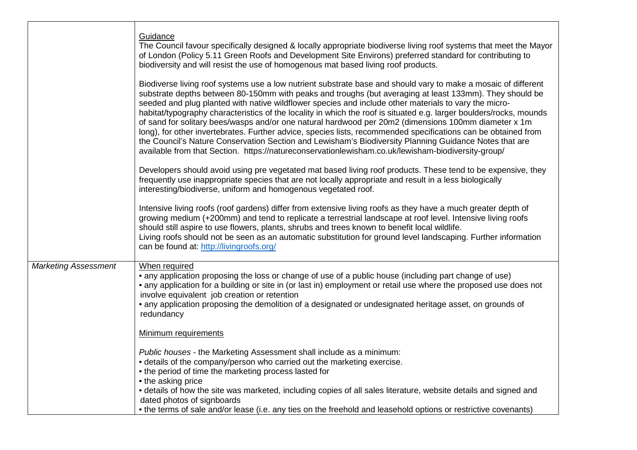| Guidance<br>The Council favour specifically designed & locally appropriate biodiverse living roof systems that meet the Mayor<br>of London (Policy 5.11 Green Roofs and Development Site Environs) preferred standard for contributing to<br>biodiversity and will resist the use of homogenous mat based living roof products.                                                                                                                                                                                                                                                                                                                                                                                                                                                                                                                                                                     |
|-----------------------------------------------------------------------------------------------------------------------------------------------------------------------------------------------------------------------------------------------------------------------------------------------------------------------------------------------------------------------------------------------------------------------------------------------------------------------------------------------------------------------------------------------------------------------------------------------------------------------------------------------------------------------------------------------------------------------------------------------------------------------------------------------------------------------------------------------------------------------------------------------------|
| Biodiverse living roof systems use a low nutrient substrate base and should vary to make a mosaic of different<br>substrate depths between 80-150mm with peaks and troughs (but averaging at least 133mm). They should be<br>seeded and plug planted with native wildflower species and include other materials to vary the micro-<br>habitat/typography characteristics of the locality in which the roof is situated e.g. larger boulders/rocks, mounds<br>of sand for solitary bees/wasps and/or one natural hardwood per 20m2 (dimensions 100mm diameter x 1m<br>long), for other invertebrates. Further advice, species lists, recommended specifications can be obtained from<br>the Council's Nature Conservation Section and Lewisham's Biodiversity Planning Guidance Notes that are<br>available from that Section. https://natureconservationlewisham.co.uk/lewisham-biodiversity-group/ |
| Developers should avoid using pre vegetated mat based living roof products. These tend to be expensive, they<br>frequently use inappropriate species that are not locally appropriate and result in a less biologically<br>interesting/biodiverse, uniform and homogenous vegetated roof.                                                                                                                                                                                                                                                                                                                                                                                                                                                                                                                                                                                                           |
| Intensive living roofs (roof gardens) differ from extensive living roofs as they have a much greater depth of<br>growing medium (+200mm) and tend to replicate a terrestrial landscape at roof level. Intensive living roofs<br>should still aspire to use flowers, plants, shrubs and trees known to benefit local wildlife.<br>Living roofs should not be seen as an automatic substitution for ground level landscaping. Further information<br>can be found at: http://livingroofs.org/                                                                                                                                                                                                                                                                                                                                                                                                         |
| When required<br>• any application proposing the loss or change of use of a public house (including part change of use)<br>• any application for a building or site in (or last in) employment or retail use where the proposed use does not<br>involve equivalent job creation or retention<br>• any application proposing the demolition of a designated or undesignated heritage asset, on grounds of<br>redundancy                                                                                                                                                                                                                                                                                                                                                                                                                                                                              |
| Minimum requirements                                                                                                                                                                                                                                                                                                                                                                                                                                                                                                                                                                                                                                                                                                                                                                                                                                                                                |
| Public houses - the Marketing Assessment shall include as a minimum:<br>• details of the company/person who carried out the marketing exercise.<br>• the period of time the marketing process lasted for<br>• the asking price<br>• details of how the site was marketed, including copies of all sales literature, website details and signed and<br>dated photos of signboards<br>• the terms of sale and/or lease (i.e. any ties on the freehold and leasehold options or restrictive covenants)                                                                                                                                                                                                                                                                                                                                                                                                 |
|                                                                                                                                                                                                                                                                                                                                                                                                                                                                                                                                                                                                                                                                                                                                                                                                                                                                                                     |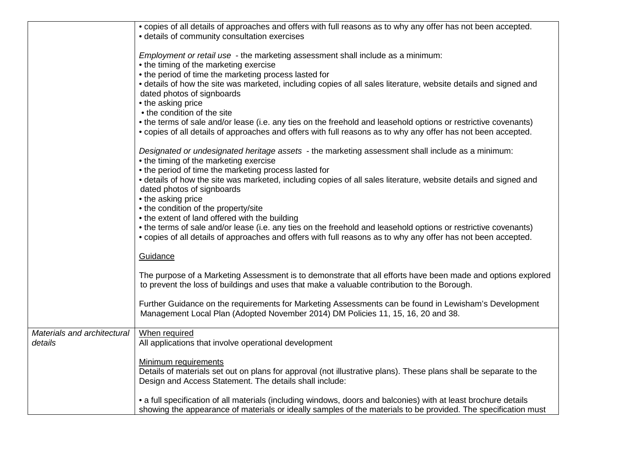|                                        | • copies of all details of approaches and offers with full reasons as to why any offer has not been accepted.                                                                                                                                                                                                                        |
|----------------------------------------|--------------------------------------------------------------------------------------------------------------------------------------------------------------------------------------------------------------------------------------------------------------------------------------------------------------------------------------|
|                                        | • details of community consultation exercises                                                                                                                                                                                                                                                                                        |
|                                        | Employment or retail use - the marketing assessment shall include as a minimum:<br>• the timing of the marketing exercise<br>• the period of time the marketing process lasted for<br>• details of how the site was marketed, including copies of all sales literature, website details and signed and<br>dated photos of signboards |
|                                        | • the asking price                                                                                                                                                                                                                                                                                                                   |
|                                        | • the condition of the site                                                                                                                                                                                                                                                                                                          |
|                                        | • the terms of sale and/or lease (i.e. any ties on the freehold and leasehold options or restrictive covenants)<br>• copies of all details of approaches and offers with full reasons as to why any offer has not been accepted.                                                                                                     |
|                                        | Designated or undesignated heritage assets - the marketing assessment shall include as a minimum:<br>• the timing of the marketing exercise<br>• the period of time the marketing process lasted for                                                                                                                                 |
|                                        | • details of how the site was marketed, including copies of all sales literature, website details and signed and<br>dated photos of signboards                                                                                                                                                                                       |
|                                        | • the asking price<br>• the condition of the property/site                                                                                                                                                                                                                                                                           |
|                                        | • the extent of land offered with the building                                                                                                                                                                                                                                                                                       |
|                                        | • the terms of sale and/or lease (i.e. any ties on the freehold and leasehold options or restrictive covenants)<br>• copies of all details of approaches and offers with full reasons as to why any offer has not been accepted.                                                                                                     |
|                                        | Guidance                                                                                                                                                                                                                                                                                                                             |
|                                        | The purpose of a Marketing Assessment is to demonstrate that all efforts have been made and options explored<br>to prevent the loss of buildings and uses that make a valuable contribution to the Borough.                                                                                                                          |
|                                        | Further Guidance on the requirements for Marketing Assessments can be found in Lewisham's Development<br>Management Local Plan (Adopted November 2014) DM Policies 11, 15, 16, 20 and 38.                                                                                                                                            |
| Materials and architectural<br>details | When required<br>All applications that involve operational development                                                                                                                                                                                                                                                               |
|                                        | Minimum requirements<br>Details of materials set out on plans for approval (not illustrative plans). These plans shall be separate to the<br>Design and Access Statement. The details shall include:                                                                                                                                 |
|                                        | • a full specification of all materials (including windows, doors and balconies) with at least brochure details<br>showing the appearance of materials or ideally samples of the materials to be provided. The specification must                                                                                                    |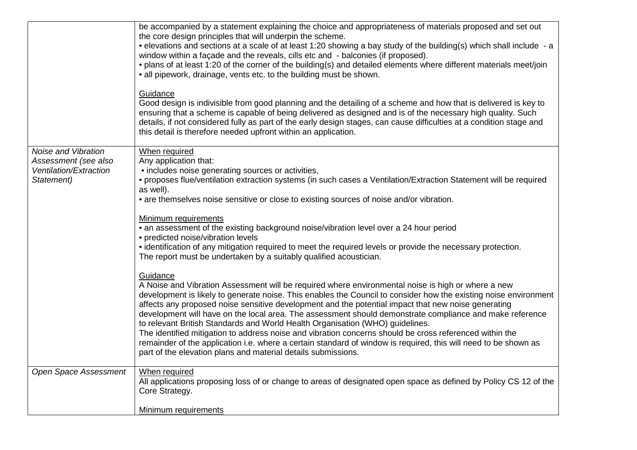|                                      | be accompanied by a statement explaining the choice and appropriateness of materials proposed and set out<br>the core design principles that will underpin the scheme.<br>• elevations and sections at a scale of at least 1:20 showing a bay study of the building(s) which shall include - a<br>window within a façade and the reveals, cills etc and - balconies (if proposed).<br>• plans of at least 1:20 of the corner of the building(s) and detailed elements where different materials meet/join<br>• all pipework, drainage, vents etc. to the building must be shown.<br>Guidance<br>Good design is indivisible from good planning and the detailing of a scheme and how that is delivered is key to<br>ensuring that a scheme is capable of being delivered as designed and is of the necessary high quality. Such<br>details, if not considered fully as part of the early design stages, can cause difficulties at a condition stage and<br>this detail is therefore needed upfront within an application. |
|--------------------------------------|--------------------------------------------------------------------------------------------------------------------------------------------------------------------------------------------------------------------------------------------------------------------------------------------------------------------------------------------------------------------------------------------------------------------------------------------------------------------------------------------------------------------------------------------------------------------------------------------------------------------------------------------------------------------------------------------------------------------------------------------------------------------------------------------------------------------------------------------------------------------------------------------------------------------------------------------------------------------------------------------------------------------------|
| Noise and Vibration                  | When required                                                                                                                                                                                                                                                                                                                                                                                                                                                                                                                                                                                                                                                                                                                                                                                                                                                                                                                                                                                                            |
| Assessment (see also                 | Any application that:                                                                                                                                                                                                                                                                                                                                                                                                                                                                                                                                                                                                                                                                                                                                                                                                                                                                                                                                                                                                    |
| Ventilation/Extraction<br>Statement) | • includes noise generating sources or activities,<br>• proposes flue/ventilation extraction systems (in such cases a Ventilation/Extraction Statement will be required<br>as well).                                                                                                                                                                                                                                                                                                                                                                                                                                                                                                                                                                                                                                                                                                                                                                                                                                     |
|                                      | • are themselves noise sensitive or close to existing sources of noise and/or vibration.                                                                                                                                                                                                                                                                                                                                                                                                                                                                                                                                                                                                                                                                                                                                                                                                                                                                                                                                 |
|                                      | Minimum requirements<br>• an assessment of the existing background noise/vibration level over a 24 hour period<br>• predicted noise/vibration levels<br>• identification of any mitigation required to meet the required levels or provide the necessary protection.<br>The report must be undertaken by a suitably qualified acoustician.                                                                                                                                                                                                                                                                                                                                                                                                                                                                                                                                                                                                                                                                               |
|                                      | Guidance<br>A Noise and Vibration Assessment will be required where environmental noise is high or where a new<br>development is likely to generate noise. This enables the Council to consider how the existing noise environment<br>affects any proposed noise sensitive development and the potential impact that new noise generating<br>development will have on the local area. The assessment should demonstrate compliance and make reference<br>to relevant British Standards and World Health Organisation (WHO) guidelines.<br>The identified mitigation to address noise and vibration concerns should be cross referenced within the<br>remainder of the application i.e. where a certain standard of window is required, this will need to be shown as<br>part of the elevation plans and material details submissions.                                                                                                                                                                                    |
| <b>Open Space Assessment</b>         | When required<br>All applications proposing loss of or change to areas of designated open space as defined by Policy CS 12 of the<br>Core Strategy.                                                                                                                                                                                                                                                                                                                                                                                                                                                                                                                                                                                                                                                                                                                                                                                                                                                                      |
|                                      | Minimum requirements                                                                                                                                                                                                                                                                                                                                                                                                                                                                                                                                                                                                                                                                                                                                                                                                                                                                                                                                                                                                     |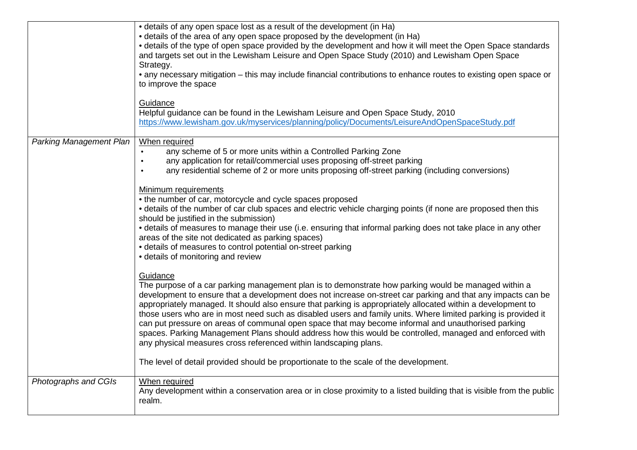|                                | • details of any open space lost as a result of the development (in Ha)<br>• details of the area of any open space proposed by the development (in Ha)<br>• details of the type of open space provided by the development and how it will meet the Open Space standards<br>and targets set out in the Lewisham Leisure and Open Space Study (2010) and Lewisham Open Space<br>Strategy.<br>• any necessary mitigation – this may include financial contributions to enhance routes to existing open space or<br>to improve the space                                                                                                                                                                                                                                                                                                                                                                                                                                                                                                                                     |
|--------------------------------|--------------------------------------------------------------------------------------------------------------------------------------------------------------------------------------------------------------------------------------------------------------------------------------------------------------------------------------------------------------------------------------------------------------------------------------------------------------------------------------------------------------------------------------------------------------------------------------------------------------------------------------------------------------------------------------------------------------------------------------------------------------------------------------------------------------------------------------------------------------------------------------------------------------------------------------------------------------------------------------------------------------------------------------------------------------------------|
|                                | Guidance<br>Helpful guidance can be found in the Lewisham Leisure and Open Space Study, 2010<br>https://www.lewisham.gov.uk/myservices/planning/policy/Documents/LeisureAndOpenSpaceStudy.pdf                                                                                                                                                                                                                                                                                                                                                                                                                                                                                                                                                                                                                                                                                                                                                                                                                                                                            |
| <b>Parking Management Plan</b> | When required<br>any scheme of 5 or more units within a Controlled Parking Zone<br>$\bullet$<br>any application for retail/commercial uses proposing off-street parking<br>$\bullet$<br>any residential scheme of 2 or more units proposing off-street parking (including conversions)<br>$\bullet$<br>Minimum requirements<br>• the number of car, motorcycle and cycle spaces proposed<br>• details of the number of car club spaces and electric vehicle charging points (if none are proposed then this<br>should be justified in the submission)<br>• details of measures to manage their use (i.e. ensuring that informal parking does not take place in any other<br>areas of the site not dedicated as parking spaces)<br>• details of measures to control potential on-street parking<br>• details of monitoring and review<br>Guidance<br>The purpose of a car parking management plan is to demonstrate how parking would be managed within a<br>development to ensure that a development does not increase on-street car parking and that any impacts can be |
|                                | appropriately managed. It should also ensure that parking is appropriately allocated within a development to<br>those users who are in most need such as disabled users and family units. Where limited parking is provided it<br>can put pressure on areas of communal open space that may become informal and unauthorised parking<br>spaces. Parking Management Plans should address how this would be controlled, managed and enforced with<br>any physical measures cross referenced within landscaping plans.<br>The level of detail provided should be proportionate to the scale of the development.                                                                                                                                                                                                                                                                                                                                                                                                                                                             |
| Photographs and CGIs           | When required<br>Any development within a conservation area or in close proximity to a listed building that is visible from the public<br>realm.                                                                                                                                                                                                                                                                                                                                                                                                                                                                                                                                                                                                                                                                                                                                                                                                                                                                                                                         |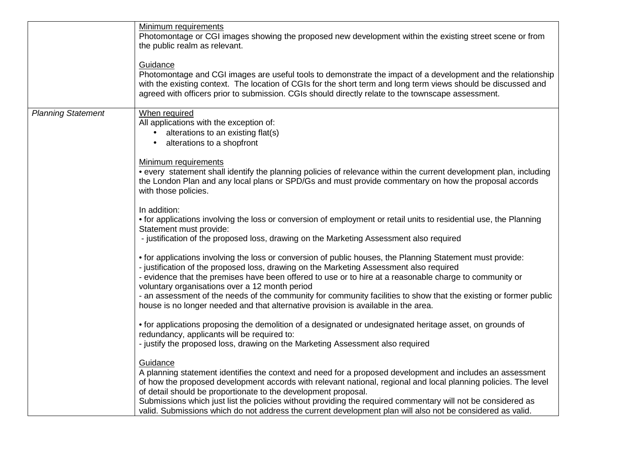|                           | Minimum requirements<br>Photomontage or CGI images showing the proposed new development within the existing street scene or from<br>the public realm as relevant.                                                                                                                                                                                                                                                                                                                                                                                                             |
|---------------------------|-------------------------------------------------------------------------------------------------------------------------------------------------------------------------------------------------------------------------------------------------------------------------------------------------------------------------------------------------------------------------------------------------------------------------------------------------------------------------------------------------------------------------------------------------------------------------------|
|                           | Guidance<br>Photomontage and CGI images are useful tools to demonstrate the impact of a development and the relationship<br>with the existing context. The location of CGIs for the short term and long term views should be discussed and<br>agreed with officers prior to submission. CGIs should directly relate to the townscape assessment.                                                                                                                                                                                                                              |
| <b>Planning Statement</b> | When required<br>All applications with the exception of:<br>• alterations to an existing flat(s)<br>alterations to a shopfront<br>$\bullet$                                                                                                                                                                                                                                                                                                                                                                                                                                   |
|                           | <b>Minimum requirements</b><br>• every statement shall identify the planning policies of relevance within the current development plan, including<br>the London Plan and any local plans or SPD/Gs and must provide commentary on how the proposal accords<br>with those policies.                                                                                                                                                                                                                                                                                            |
|                           | In addition:<br>• for applications involving the loss or conversion of employment or retail units to residential use, the Planning<br>Statement must provide:<br>- justification of the proposed loss, drawing on the Marketing Assessment also required                                                                                                                                                                                                                                                                                                                      |
|                           | • for applications involving the loss or conversion of public houses, the Planning Statement must provide:<br>- justification of the proposed loss, drawing on the Marketing Assessment also required<br>- evidence that the premises have been offered to use or to hire at a reasonable charge to community or<br>voluntary organisations over a 12 month period<br>- an assessment of the needs of the community for community facilities to show that the existing or former public<br>house is no longer needed and that alternative provision is available in the area. |
|                           | • for applications proposing the demolition of a designated or undesignated heritage asset, on grounds of<br>redundancy, applicants will be required to:<br>- justify the proposed loss, drawing on the Marketing Assessment also required                                                                                                                                                                                                                                                                                                                                    |
|                           | Guidance<br>A planning statement identifies the context and need for a proposed development and includes an assessment<br>of how the proposed development accords with relevant national, regional and local planning policies. The level<br>of detail should be proportionate to the development proposal.<br>Submissions which just list the policies without providing the required commentary will not be considered as<br>valid. Submissions which do not address the current development plan will also not be considered as valid.                                     |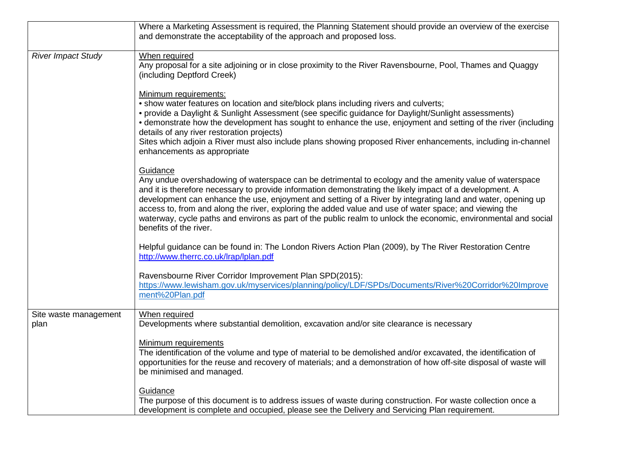|                               | Where a Marketing Assessment is required, the Planning Statement should provide an overview of the exercise<br>and demonstrate the acceptability of the approach and proposed loss.                                                                                                                                                                                                                                                                                                                                                                                                                   |
|-------------------------------|-------------------------------------------------------------------------------------------------------------------------------------------------------------------------------------------------------------------------------------------------------------------------------------------------------------------------------------------------------------------------------------------------------------------------------------------------------------------------------------------------------------------------------------------------------------------------------------------------------|
| <b>River Impact Study</b>     | When required<br>Any proposal for a site adjoining or in close proximity to the River Ravensbourne, Pool, Thames and Quaggy<br>(including Deptford Creek)                                                                                                                                                                                                                                                                                                                                                                                                                                             |
|                               | Minimum requirements:<br>• show water features on location and site/block plans including rivers and culverts;<br>• provide a Daylight & Sunlight Assessment (see specific guidance for Daylight/Sunlight assessments)<br>• demonstrate how the development has sought to enhance the use, enjoyment and setting of the river (including<br>details of any river restoration projects)<br>Sites which adjoin a River must also include plans showing proposed River enhancements, including in-channel<br>enhancements as appropriate                                                                 |
|                               | Guidance<br>Any undue overshadowing of waterspace can be detrimental to ecology and the amenity value of waterspace<br>and it is therefore necessary to provide information demonstrating the likely impact of a development. A<br>development can enhance the use, enjoyment and setting of a River by integrating land and water, opening up<br>access to, from and along the river, exploring the added value and use of water space; and viewing the<br>waterway, cycle paths and environs as part of the public realm to unlock the economic, environmental and social<br>benefits of the river. |
|                               | Helpful guidance can be found in: The London Rivers Action Plan (2009), by The River Restoration Centre<br>http://www.therrc.co.uk/lrap/lplan.pdf                                                                                                                                                                                                                                                                                                                                                                                                                                                     |
|                               | Ravensbourne River Corridor Improvement Plan SPD(2015):<br>https://www.lewisham.gov.uk/myservices/planning/policy/LDF/SPDs/Documents/River%20Corridor%20Improve<br>ment%20Plan.pdf                                                                                                                                                                                                                                                                                                                                                                                                                    |
| Site waste management<br>plan | When required<br>Developments where substantial demolition, excavation and/or site clearance is necessary                                                                                                                                                                                                                                                                                                                                                                                                                                                                                             |
|                               | Minimum requirements<br>The identification of the volume and type of material to be demolished and/or excavated, the identification of<br>opportunities for the reuse and recovery of materials; and a demonstration of how off-site disposal of waste will<br>be minimised and managed.                                                                                                                                                                                                                                                                                                              |
|                               | Guidance<br>The purpose of this document is to address issues of waste during construction. For waste collection once a<br>development is complete and occupied, please see the Delivery and Servicing Plan requirement.                                                                                                                                                                                                                                                                                                                                                                              |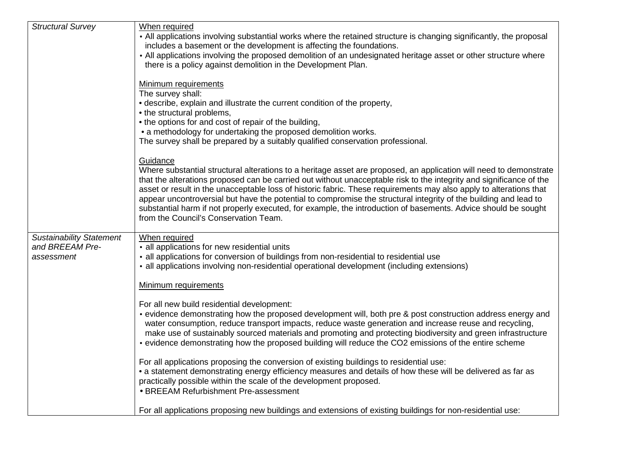| <b>Structural Survey</b>        | When required                                                                                                                                                                                                         |
|---------------------------------|-----------------------------------------------------------------------------------------------------------------------------------------------------------------------------------------------------------------------|
|                                 | • All applications involving substantial works where the retained structure is changing significantly, the proposal                                                                                                   |
|                                 | includes a basement or the development is affecting the foundations.                                                                                                                                                  |
|                                 | • All applications involving the proposed demolition of an undesignated heritage asset or other structure where                                                                                                       |
|                                 | there is a policy against demolition in the Development Plan.                                                                                                                                                         |
|                                 |                                                                                                                                                                                                                       |
|                                 | Minimum requirements                                                                                                                                                                                                  |
|                                 | The survey shall:                                                                                                                                                                                                     |
|                                 | • describe, explain and illustrate the current condition of the property,                                                                                                                                             |
|                                 | • the structural problems,                                                                                                                                                                                            |
|                                 | • the options for and cost of repair of the building,                                                                                                                                                                 |
|                                 | • a methodology for undertaking the proposed demolition works.                                                                                                                                                        |
|                                 | The survey shall be prepared by a suitably qualified conservation professional.                                                                                                                                       |
|                                 |                                                                                                                                                                                                                       |
|                                 | Guidance<br>Where substantial structural alterations to a heritage asset are proposed, an application will need to demonstrate                                                                                        |
|                                 | that the alterations proposed can be carried out without unacceptable risk to the integrity and significance of the                                                                                                   |
|                                 | asset or result in the unacceptable loss of historic fabric. These requirements may also apply to alterations that                                                                                                    |
|                                 | appear uncontroversial but have the potential to compromise the structural integrity of the building and lead to                                                                                                      |
|                                 | substantial harm if not properly executed, for example, the introduction of basements. Advice should be sought                                                                                                        |
|                                 | from the Council's Conservation Team.                                                                                                                                                                                 |
|                                 |                                                                                                                                                                                                                       |
| <b>Sustainability Statement</b> | When required                                                                                                                                                                                                         |
| and BREEAM Pre-                 | • all applications for new residential units                                                                                                                                                                          |
| assessment                      | • all applications for conversion of buildings from non-residential to residential use                                                                                                                                |
|                                 | • all applications involving non-residential operational development (including extensions)                                                                                                                           |
|                                 |                                                                                                                                                                                                                       |
|                                 | Minimum requirements                                                                                                                                                                                                  |
|                                 |                                                                                                                                                                                                                       |
|                                 | For all new build residential development:                                                                                                                                                                            |
|                                 | • evidence demonstrating how the proposed development will, both pre & post construction address energy and                                                                                                           |
|                                 | water consumption, reduce transport impacts, reduce waste generation and increase reuse and recycling,                                                                                                                |
|                                 | make use of sustainably sourced materials and promoting and protecting biodiversity and green infrastructure<br>• evidence demonstrating how the proposed building will reduce the CO2 emissions of the entire scheme |
|                                 |                                                                                                                                                                                                                       |
|                                 | For all applications proposing the conversion of existing buildings to residential use:                                                                                                                               |
|                                 | • a statement demonstrating energy efficiency measures and details of how these will be delivered as far as                                                                                                           |
|                                 | practically possible within the scale of the development proposed.                                                                                                                                                    |
|                                 | • BREEAM Refurbishment Pre-assessment                                                                                                                                                                                 |
|                                 |                                                                                                                                                                                                                       |
|                                 | For all applications proposing new buildings and extensions of existing buildings for non-residential use:                                                                                                            |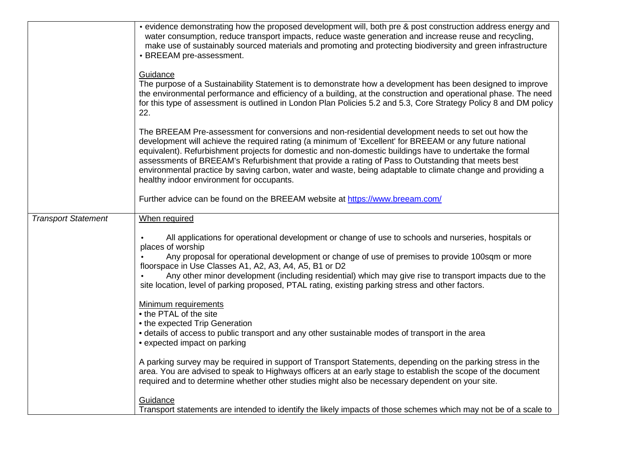|                            | • evidence demonstrating how the proposed development will, both pre & post construction address energy and<br>water consumption, reduce transport impacts, reduce waste generation and increase reuse and recycling,<br>make use of sustainably sourced materials and promoting and protecting biodiversity and green infrastructure<br>• BREEAM pre-assessment.                                                                                                                                                                                                                            |
|----------------------------|----------------------------------------------------------------------------------------------------------------------------------------------------------------------------------------------------------------------------------------------------------------------------------------------------------------------------------------------------------------------------------------------------------------------------------------------------------------------------------------------------------------------------------------------------------------------------------------------|
|                            | Guidance<br>The purpose of a Sustainability Statement is to demonstrate how a development has been designed to improve<br>the environmental performance and efficiency of a building, at the construction and operational phase. The need<br>for this type of assessment is outlined in London Plan Policies 5.2 and 5.3, Core Strategy Policy 8 and DM policy<br>22.                                                                                                                                                                                                                        |
|                            | The BREEAM Pre-assessment for conversions and non-residential development needs to set out how the<br>development will achieve the required rating (a minimum of 'Excellent' for BREEAM or any future national<br>equivalent). Refurbishment projects for domestic and non-domestic buildings have to undertake the formal<br>assessments of BREEAM's Refurbishment that provide a rating of Pass to Outstanding that meets best<br>environmental practice by saving carbon, water and waste, being adaptable to climate change and providing a<br>healthy indoor environment for occupants. |
|                            | Further advice can be found on the BREEAM website at https://www.breeam.com/                                                                                                                                                                                                                                                                                                                                                                                                                                                                                                                 |
| <b>Transport Statement</b> | When required                                                                                                                                                                                                                                                                                                                                                                                                                                                                                                                                                                                |
|                            | All applications for operational development or change of use to schools and nurseries, hospitals or<br>places of worship<br>Any proposal for operational development or change of use of premises to provide 100sqm or more<br>floorspace in Use Classes A1, A2, A3, A4, A5, B1 or D2<br>Any other minor development (including residential) which may give rise to transport impacts due to the<br>site location, level of parking proposed, PTAL rating, existing parking stress and other factors.                                                                                       |
|                            | <b>Minimum requirements</b><br>• the PTAL of the site<br>• the expected Trip Generation<br>• details of access to public transport and any other sustainable modes of transport in the area<br>• expected impact on parking                                                                                                                                                                                                                                                                                                                                                                  |
|                            | A parking survey may be required in support of Transport Statements, depending on the parking stress in the<br>area. You are advised to speak to Highways officers at an early stage to establish the scope of the document<br>required and to determine whether other studies might also be necessary dependent on your site.                                                                                                                                                                                                                                                               |
|                            | Guidance<br>Transport statements are intended to identify the likely impacts of those schemes which may not be of a scale to                                                                                                                                                                                                                                                                                                                                                                                                                                                                 |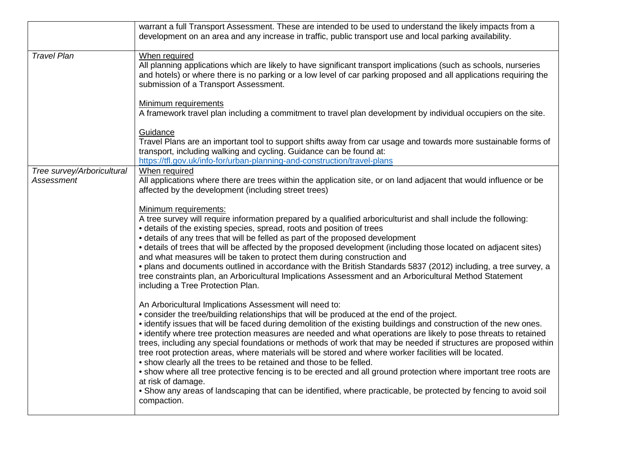|                                                 | warrant a full Transport Assessment. These are intended to be used to understand the likely impacts from a<br>development on an area and any increase in traffic, public transport use and local parking availability.                                                                                                                                                                                                                                                                                                                                                                                                                                                                                                                                                                                                                                                                                                                                                               |
|-------------------------------------------------|--------------------------------------------------------------------------------------------------------------------------------------------------------------------------------------------------------------------------------------------------------------------------------------------------------------------------------------------------------------------------------------------------------------------------------------------------------------------------------------------------------------------------------------------------------------------------------------------------------------------------------------------------------------------------------------------------------------------------------------------------------------------------------------------------------------------------------------------------------------------------------------------------------------------------------------------------------------------------------------|
| <b>Travel Plan</b>                              | When required<br>All planning applications which are likely to have significant transport implications (such as schools, nurseries<br>and hotels) or where there is no parking or a low level of car parking proposed and all applications requiring the<br>submission of a Transport Assessment.                                                                                                                                                                                                                                                                                                                                                                                                                                                                                                                                                                                                                                                                                    |
|                                                 | Minimum requirements<br>A framework travel plan including a commitment to travel plan development by individual occupiers on the site.                                                                                                                                                                                                                                                                                                                                                                                                                                                                                                                                                                                                                                                                                                                                                                                                                                               |
|                                                 | Guidance<br>Travel Plans are an important tool to support shifts away from car usage and towards more sustainable forms of<br>transport, including walking and cycling. Guidance can be found at:<br>https://tfl.gov.uk/info-for/urban-planning-and-construction/travel-plans                                                                                                                                                                                                                                                                                                                                                                                                                                                                                                                                                                                                                                                                                                        |
| Tree survey/Arboricultural<br><b>Assessment</b> | When required<br>All applications where there are trees within the application site, or on land adjacent that would influence or be<br>affected by the development (including street trees)                                                                                                                                                                                                                                                                                                                                                                                                                                                                                                                                                                                                                                                                                                                                                                                          |
|                                                 | Minimum requirements:<br>A tree survey will require information prepared by a qualified arboriculturist and shall include the following:<br>• details of the existing species, spread, roots and position of trees<br>• details of any trees that will be felled as part of the proposed development<br>• details of trees that will be affected by the proposed development (including those located on adjacent sites)<br>and what measures will be taken to protect them during construction and<br>• plans and documents outlined in accordance with the British Standards 5837 (2012) including, a tree survey, a<br>tree constraints plan, an Arboricultural Implications Assessment and an Arboricultural Method Statement<br>including a Tree Protection Plan.                                                                                                                                                                                                               |
|                                                 | An Arboricultural Implications Assessment will need to:<br>• consider the tree/building relationships that will be produced at the end of the project.<br>• identify issues that will be faced during demolition of the existing buildings and construction of the new ones.<br>• identify where tree protection measures are needed and what operations are likely to pose threats to retained<br>trees, including any special foundations or methods of work that may be needed if structures are proposed within<br>tree root protection areas, where materials will be stored and where worker facilities will be located.<br>. show clearly all the trees to be retained and those to be felled.<br>• show where all tree protective fencing is to be erected and all ground protection where important tree roots are<br>at risk of damage.<br>• Show any areas of landscaping that can be identified, where practicable, be protected by fencing to avoid soil<br>compaction. |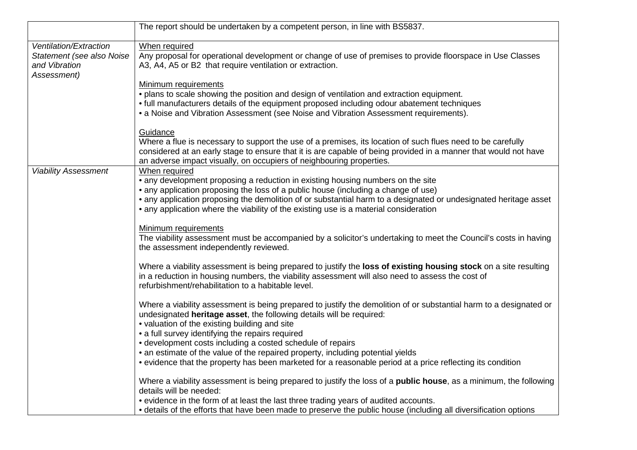|                                                     | The report should be undertaken by a competent person, in line with BS5837.                                                 |
|-----------------------------------------------------|-----------------------------------------------------------------------------------------------------------------------------|
|                                                     |                                                                                                                             |
| Ventilation/Extraction<br>Statement (see also Noise | When required<br>Any proposal for operational development or change of use of premises to provide floorspace in Use Classes |
| and Vibration                                       | A3, A4, A5 or B2 that require ventilation or extraction.                                                                    |
| Assessment)                                         |                                                                                                                             |
|                                                     | Minimum requirements                                                                                                        |
|                                                     | . plans to scale showing the position and design of ventilation and extraction equipment.                                   |
|                                                     | • full manufacturers details of the equipment proposed including odour abatement techniques                                 |
|                                                     | • a Noise and Vibration Assessment (see Noise and Vibration Assessment requirements).                                       |
|                                                     | Guidance                                                                                                                    |
|                                                     | Where a flue is necessary to support the use of a premises, its location of such flues need to be carefully                 |
|                                                     | considered at an early stage to ensure that it is are capable of being provided in a manner that would not have             |
|                                                     | an adverse impact visually, on occupiers of neighbouring properties.                                                        |
| <b>Viability Assessment</b>                         | When required                                                                                                               |
|                                                     | • any development proposing a reduction in existing housing numbers on the site                                             |
|                                                     | • any application proposing the loss of a public house (including a change of use)                                          |
|                                                     | • any application proposing the demolition of or substantial harm to a designated or undesignated heritage asset            |
|                                                     | • any application where the viability of the existing use is a material consideration                                       |
|                                                     | Minimum requirements                                                                                                        |
|                                                     | The viability assessment must be accompanied by a solicitor's undertaking to meet the Council's costs in having             |
|                                                     | the assessment independently reviewed.                                                                                      |
|                                                     | Where a viability assessment is being prepared to justify the loss of existing housing stock on a site resulting            |
|                                                     | in a reduction in housing numbers, the viability assessment will also need to assess the cost of                            |
|                                                     | refurbishment/rehabilitation to a habitable level.                                                                          |
|                                                     | Where a viability assessment is being prepared to justify the demolition of or substantial harm to a designated or          |
|                                                     | undesignated heritage asset, the following details will be required:                                                        |
|                                                     | • valuation of the existing building and site                                                                               |
|                                                     | • a full survey identifying the repairs required                                                                            |
|                                                     | • development costs including a costed schedule of repairs                                                                  |
|                                                     | • an estimate of the value of the repaired property, including potential yields                                             |
|                                                     | • evidence that the property has been marketed for a reasonable period at a price reflecting its condition                  |
|                                                     | Where a viability assessment is being prepared to justify the loss of a <b>public house</b> , as a minimum, the following   |
|                                                     | details will be needed:                                                                                                     |
|                                                     | • evidence in the form of at least the last three trading years of audited accounts.                                        |
|                                                     | • details of the efforts that have been made to preserve the public house (including all diversification options            |